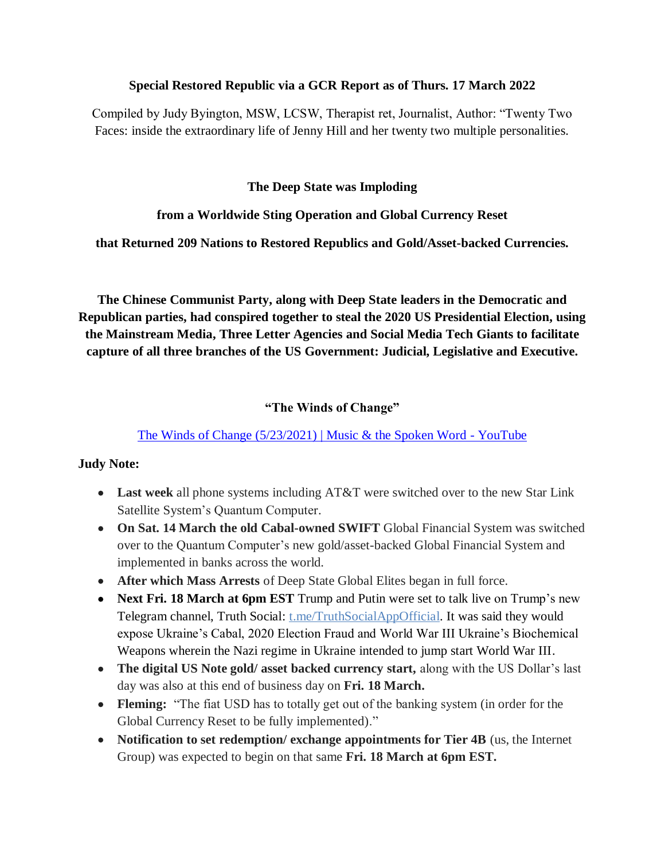#### **Special Restored Republic via a GCR Report as of Thurs. 17 March 2022**

Compiled by Judy Byington, MSW, LCSW, Therapist ret, Journalist, Author: "Twenty Two Faces: inside the extraordinary life of Jenny Hill and her twenty two multiple personalities.

#### **The Deep State was Imploding**

### **from a Worldwide Sting Operation and Global Currency Reset**

### **that Returned 209 Nations to Restored Republics and Gold/Asset-backed Currencies.**

**The Chinese Communist Party, along with Deep State leaders in the Democratic and Republican parties, had conspired together to steal the 2020 US Presidential Election, using the Mainstream Media, Three Letter Agencies and Social Media Tech Giants to facilitate capture of all three branches of the US Government: Judicial, Legislative and Executive.**

## **"The Winds of Change"**

## [The Winds of Change \(5/23/2021\) | Music & the Spoken Word -](https://www.youtube.com/watch?v=XgVW1b7yDGU) YouTube

### **Judy Note:**

- **Last week** all phone systems including AT&T were switched over to the new Star Link Satellite System's Quantum Computer.
- **On Sat. 14 March the old Cabal-owned SWIFT** Global Financial System was switched over to the Quantum Computer's new gold/asset-backed Global Financial System and implemented in banks across the world.
- **After which Mass Arrests** of Deep State Global Elites began in full force.
- **Next Fri. 18 March at 6pm EST** Trump and Putin were set to talk live on Trump's new Telegram channel, Truth Social: t.me/TruthSocialAppOfficial. It was said they would expose Ukraine's Cabal, 2020 Election Fraud and World War III Ukraine's Biochemical Weapons wherein the Nazi regime in Ukraine intended to jump start World War III.
- **The digital US Note gold/ asset backed currency start,** along with the US Dollar's last day was also at this end of business day on **Fri. 18 March.**
- Fleming: "The fiat USD has to totally get out of the banking system (in order for the Global Currency Reset to be fully implemented)."
- **Notification to set redemption/ exchange appointments for Tier 4B** (us, the Internet Group) was expected to begin on that same **Fri. 18 March at 6pm EST.**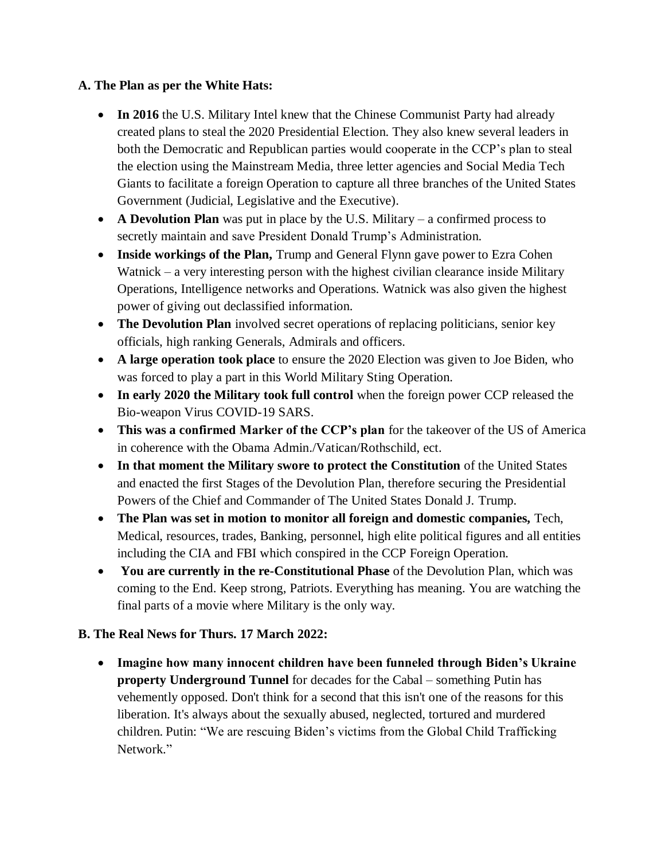## **A. The Plan as per the White Hats:**

- In 2016 the U.S. Military Intel knew that the Chinese Communist Party had already created plans to steal the 2020 Presidential Election. They also knew several leaders in both the Democratic and Republican parties would cooperate in the CCP's plan to steal the election using the Mainstream Media, three letter agencies and Social Media Tech Giants to facilitate a foreign Operation to capture all three branches of the United States Government (Judicial, Legislative and the Executive).
- **A Devolution Plan** was put in place by the U.S. Military a confirmed process to secretly maintain and save President Donald Trump's Administration.
- **Inside workings of the Plan,** Trump and General Flynn gave power to Ezra Cohen Watnick – a very interesting person with the highest civilian clearance inside Military Operations, Intelligence networks and Operations. Watnick was also given the highest power of giving out declassified information.
- **The Devolution Plan** involved secret operations of replacing politicians, senior key officials, high ranking Generals, Admirals and officers.
- **A large operation took place** to ensure the 2020 Election was given to Joe Biden, who was forced to play a part in this World Military Sting Operation.
- **In early 2020 the Military took full control** when the foreign power CCP released the Bio-weapon Virus COVID-19 SARS.
- **This was a confirmed Marker of the CCP"s plan** for the takeover of the US of America in coherence with the Obama Admin./Vatican/Rothschild, ect.
- **In that moment the Military swore to protect the Constitution** of the United States and enacted the first Stages of the Devolution Plan, therefore securing the Presidential Powers of the Chief and Commander of The United States Donald J. Trump.
- **The Plan was set in motion to monitor all foreign and domestic companies,** Tech, Medical, resources, trades, Banking, personnel, high elite political figures and all entities including the CIA and FBI which conspired in the CCP Foreign Operation.
- **You are currently in the re-Constitutional Phase** of the Devolution Plan, which was coming to the End. Keep strong, Patriots. Everything has meaning. You are watching the final parts of a movie where Military is the only way.

## **B. The Real News for Thurs. 17 March 2022:**

 **Imagine how many innocent children have been funneled through Biden"s Ukraine property Underground Tunnel** for decades for the Cabal – something Putin has vehemently opposed. Don't think for a second that this isn't one of the reasons for this liberation. It's always about the sexually abused, neglected, tortured and murdered children. Putin: "We are rescuing Biden's victims from the Global Child Trafficking Network"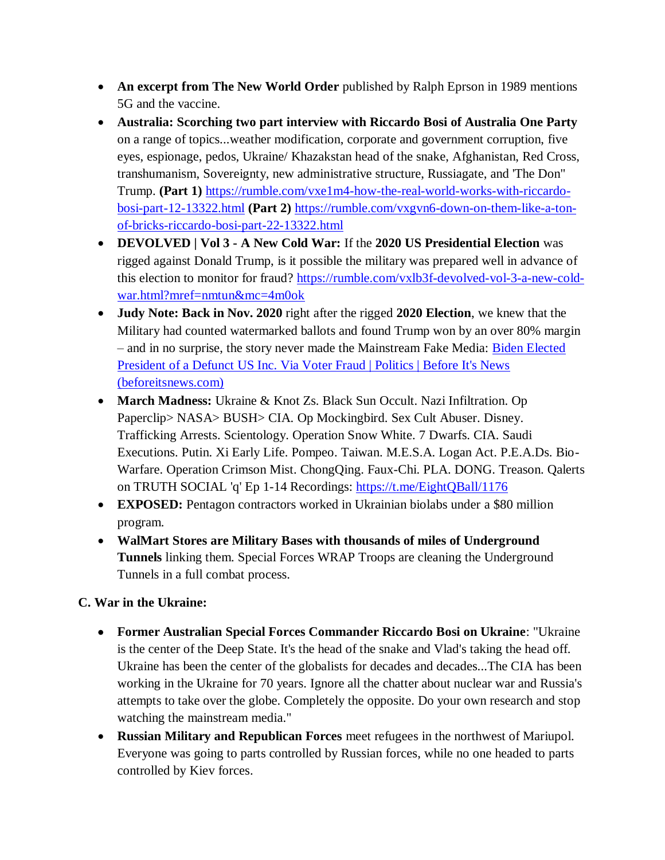- **An excerpt from The New World Order** published by Ralph Eprson in 1989 mentions 5G and the vaccine.
- **Australia: Scorching two part interview with Riccardo Bosi of Australia One Party** on a range of topics...weather modification, corporate and government corruption, five eyes, espionage, pedos, Ukraine/ Khazakstan head of the snake, Afghanistan, Red Cross, transhumanism, Sovereignty, new administrative structure, Russiagate, and 'The Don" Trump. **(Part 1)** [https://rumble.com/vxe1m4-how-the-real-world-works-with-riccardo](https://rumble.com/vxe1m4-how-the-real-world-works-with-riccardo-bosi-part-12-13322.html)[bosi-part-12-13322.html](https://rumble.com/vxe1m4-how-the-real-world-works-with-riccardo-bosi-part-12-13322.html) **(Part 2)** [https://rumble.com/vxgvn6-down-on-them-like-a-ton](https://rumble.com/vxgvn6-down-on-them-like-a-ton-of-bricks-riccardo-bosi-part-22-13322.html)[of-bricks-riccardo-bosi-part-22-13322.html](https://rumble.com/vxgvn6-down-on-them-like-a-ton-of-bricks-riccardo-bosi-part-22-13322.html)
- **DEVOLVED | Vol 3 - A New Cold War:** If the **2020 US Presidential Election** was rigged against Donald Trump, is it possible the military was prepared well in advance of this election to monitor for fraud? [https://rumble.com/vxlb3f-devolved-vol-3-a-new-cold](https://rumble.com/vxlb3f-devolved-vol-3-a-new-cold-war.html?mref=nmtun&mc=4m0ok)[war.html?mref=nmtun&mc=4m0ok](https://rumble.com/vxlb3f-devolved-vol-3-a-new-cold-war.html?mref=nmtun&mc=4m0ok)
- **Judy Note: Back in Nov. 2020** right after the rigged **2020 Election**, we knew that the Military had counted watermarked ballots and found Trump won by an over 80% margin – and in no surprise, the story never made the Mainstream Fake Media: [Biden Elected](https://beforeitsnews.com/politics/2020/11/biden-elected-president-of-a-defunct-us-inc-via-voter-fraud-3217433.html)  [President of a Defunct US Inc. Via Voter Fraud | Politics | Before It's News](https://beforeitsnews.com/politics/2020/11/biden-elected-president-of-a-defunct-us-inc-via-voter-fraud-3217433.html)  [\(beforeitsnews.com\)](https://beforeitsnews.com/politics/2020/11/biden-elected-president-of-a-defunct-us-inc-via-voter-fraud-3217433.html)
- **March Madness:** Ukraine & Knot Zs. Black Sun Occult. Nazi Infiltration. Op Paperclip> NASA> BUSH> CIA. Op Mockingbird. Sex Cult Abuser. Disney. Trafficking Arrests. Scientology. Operation Snow White. 7 Dwarfs. CIA. Saudi Executions. Putin. Xi Early Life. Pompeo. Taiwan. M.E.S.A. Logan Act. P.E.A.Ds. Bio-Warfare. Operation Crimson Mist. ChongQing. Faux-Chi. PLA. DONG. Treason. Qalerts on TRUTH SOCIAL 'q' Ep 1-14 Recordings:<https://t.me/EightQBall/1176>
- **EXPOSED:** Pentagon contractors worked in Ukrainian biolabs under a \$80 million program.
- **WalMart Stores are Military Bases with thousands of miles of Underground Tunnels** linking them. Special Forces WRAP Troops are cleaning the Underground Tunnels in a full combat process.

## **C. War in the Ukraine:**

- **Former Australian Special Forces Commander Riccardo Bosi on Ukraine**: "Ukraine is the center of the Deep State. It's the head of the snake and Vlad's taking the head off. Ukraine has been the center of the globalists for decades and decades...The CIA has been working in the Ukraine for 70 years. Ignore all the chatter about nuclear war and Russia's attempts to take over the globe. Completely the opposite. Do your own research and stop watching the mainstream media."
- **Russian Military and Republican Forces** meet refugees in the northwest of Mariupol. Everyone was going to parts controlled by Russian forces, while no one headed to parts controlled by Kiev forces.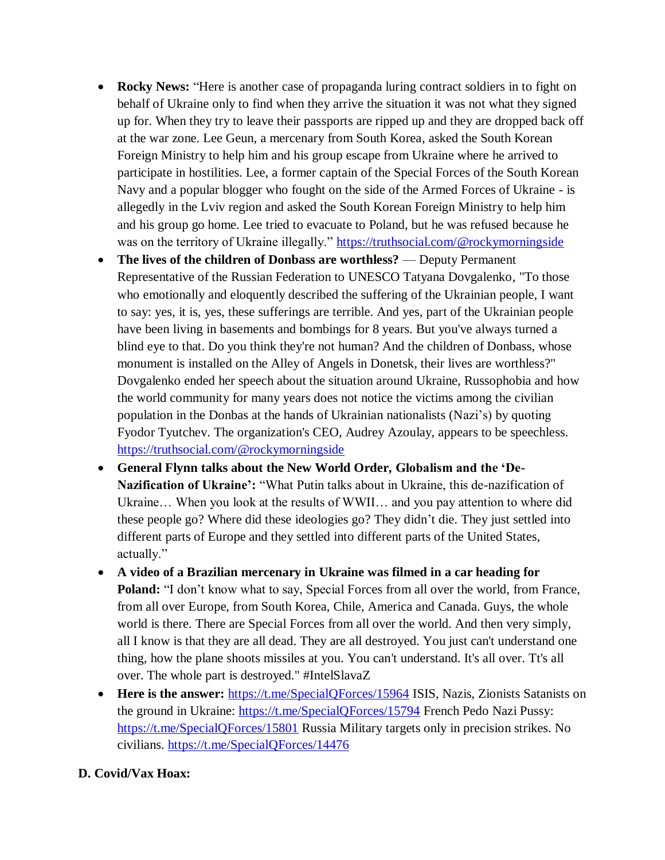- **Rocky News:** "Here is another case of propaganda luring contract soldiers in to fight on behalf of Ukraine only to find when they arrive the situation it was not what they signed up for. When they try to leave their passports are ripped up and they are dropped back off at the war zone. Lee Geun, a mercenary from South Korea, asked the South Korean Foreign Ministry to help him and his group escape from Ukraine where he arrived to participate in hostilities. Lee, a former captain of the Special Forces of the South Korean Navy and a popular blogger who fought on the side of the Armed Forces of Ukraine - is allegedly in the Lviv region and asked the South Korean Foreign Ministry to help him and his group go home. Lee tried to evacuate to Poland, but he was refused because he was on the territory of Ukraine illegally." <https://truthsocial.com/@rockymorningside>
- **The lives of the children of Donbass are worthless?** Deputy Permanent Representative of the Russian Federation to UNESCO Tatyana Dovgalenko, "To those who emotionally and eloquently described the suffering of the Ukrainian people, I want to say: yes, it is, yes, these sufferings are terrible. And yes, part of the Ukrainian people have been living in basements and bombings for 8 years. But you've always turned a blind eye to that. Do you think they're not human? And the children of Donbass, whose monument is installed on the Alley of Angels in Donetsk, their lives are worthless?" Dovgalenko ended her speech about the situation around Ukraine, Russophobia and how the world community for many years does not notice the victims among the civilian population in the Donbas at the hands of Ukrainian nationalists (Nazi's) by quoting Fyodor Tyutchev. The organization's CEO, Audrey Azoulay, appears to be speechless. <https://truthsocial.com/@rockymorningside>
- **General Flynn talks about the New World Order, Globalism and the "De-**Nazification of Ukraine': "What Putin talks about in Ukraine, this de-nazification of Ukraine… When you look at the results of WWII… and you pay attention to where did these people go? Where did these ideologies go? They didn't die. They just settled into different parts of Europe and they settled into different parts of the United States, actually."
- **A video of a Brazilian mercenary in Ukraine was filmed in a car heading for**  Poland: "I don't know what to say, Special Forces from all over the world, from France, from all over Europe, from South Korea, Chile, America and Canada. Guys, the whole world is there. There are Special Forces from all over the world. And then very simply, all I know is that they are all dead. They are all destroyed. You just can't understand one thing, how the plane shoots missiles at you. You can't understand. It's all over. Tt's all over. The whole part is destroyed." #IntelSlavaZ
- **Here is the answer:** <https://t.me/SpecialQForces/15964> ISIS, Nazis, Zionists Satanists on the ground in Ukraine:<https://t.me/SpecialQForces/15794> French Pedo Nazi Pussy: <https://t.me/SpecialQForces/15801> Russia Military targets only in precision strikes. No civilians. <https://t.me/SpecialQForces/14476>

### **D. Covid/Vax Hoax:**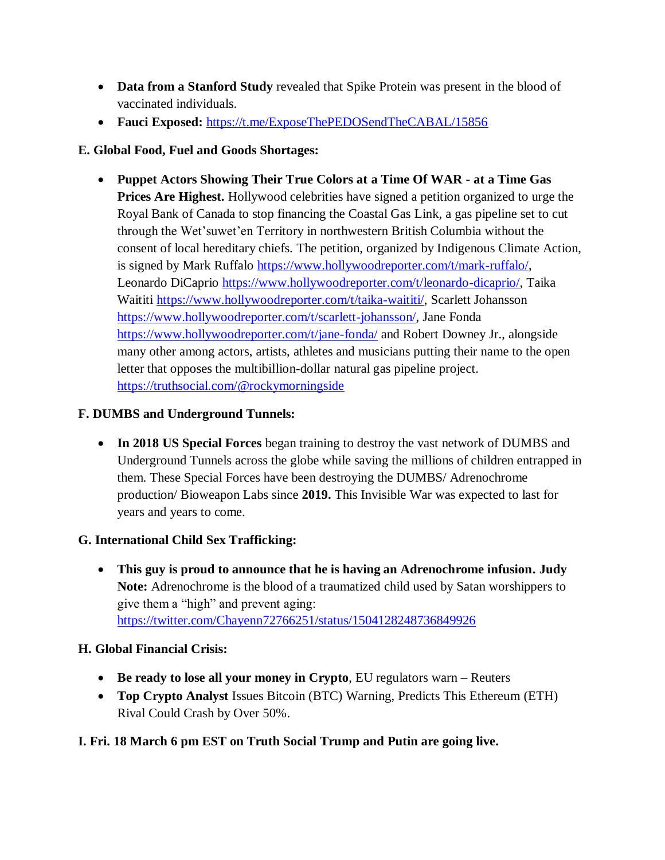- **Data from a Stanford Study** revealed that Spike Protein was present in the blood of vaccinated individuals.
- **Fauci Exposed:** <https://t.me/ExposeThePEDOSendTheCABAL/15856>

# **E. Global Food, Fuel and Goods Shortages:**

 **Puppet Actors Showing Their True Colors at a Time Of WAR - at a Time Gas Prices Are Highest.** Hollywood celebrities have signed a petition organized to urge the Royal Bank of Canada to stop financing the Coastal Gas Link, a gas pipeline set to cut through the Wet'suwet'en Territory in northwestern British Columbia without the consent of local hereditary chiefs. The petition, organized by Indigenous Climate Action, is signed by Mark Ruffalo [https://www.hollywoodreporter.com/t/mark-ruffalo/,](https://www.hollywoodreporter.com/t/mark-ruffalo/) Leonardo DiCaprio [https://www.hollywoodreporter.com/t/leonardo-dicaprio/,](https://www.hollywoodreporter.com/t/leonardo-dicaprio/) Taika Waititi [https://www.hollywoodreporter.com/t/taika-waititi/,](https://www.hollywoodreporter.com/t/taika-waititi/) Scarlett Johansson [https://www.hollywoodreporter.com/t/scarlett-johansson/,](https://www.hollywoodreporter.com/t/scarlett-johansson/) Jane Fonda <https://www.hollywoodreporter.com/t/jane-fonda/> and Robert Downey Jr., alongside many other among actors, artists, athletes and musicians putting their name to the open letter that opposes the multibillion-dollar natural gas pipeline project. <https://truthsocial.com/@rockymorningside>

# **F. DUMBS and Underground Tunnels:**

 **In 2018 US Special Forces** began training to destroy the vast network of DUMBS and Underground Tunnels across the globe while saving the millions of children entrapped in them. These Special Forces have been destroying the DUMBS/ Adrenochrome production/ Bioweapon Labs since **2019.** This Invisible War was expected to last for years and years to come.

# **G. International Child Sex Trafficking:**

 **This guy is proud to announce that he is having an Adrenochrome infusion. Judy Note:** Adrenochrome is the blood of a traumatized child used by Satan worshippers to give them a "high" and prevent aging: <https://twitter.com/Chayenn72766251/status/1504128248736849926>

## **H. Global Financial Crisis:**

- **Be ready to lose all your money in Crypto**, EU regulators warn Reuters
- **Top Crypto Analyst** Issues Bitcoin (BTC) Warning, Predicts This Ethereum (ETH) Rival Could Crash by Over 50%.

# **I. Fri. 18 March 6 pm EST on Truth Social Trump and Putin are going live.**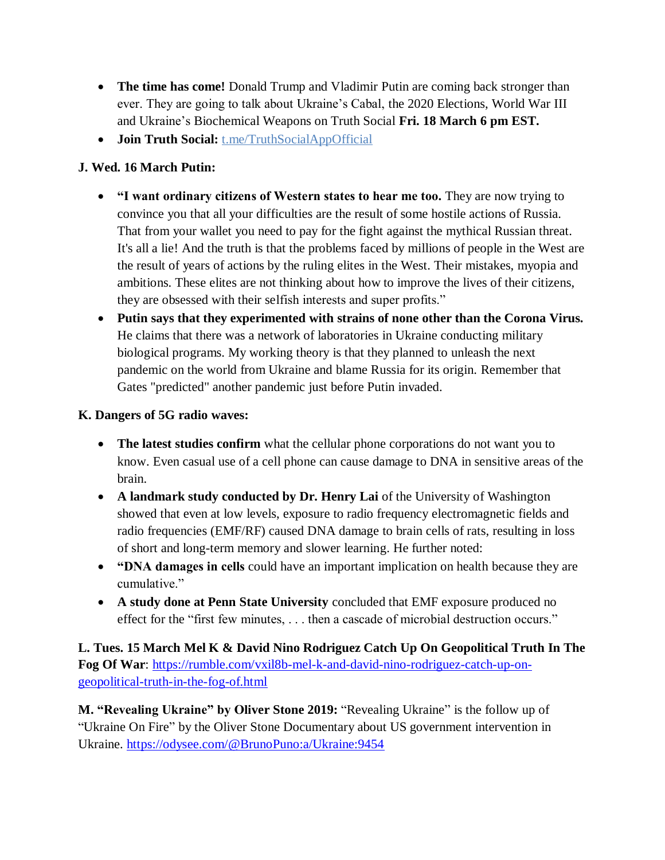- **The time has come!** Donald Trump and Vladimir Putin are coming back stronger than ever. They are going to talk about Ukraine's Cabal, the 2020 Elections, World War III and Ukraine's Biochemical Weapons on Truth Social **Fri. 18 March 6 pm EST.**
- **Join Truth Social:** t.me/TruthSocialAppOfficial

# **J. Wed. 16 March Putin:**

- **"I want ordinary citizens of Western states to hear me too.** They are now trying to convince you that all your difficulties are the result of some hostile actions of Russia. That from your wallet you need to pay for the fight against the mythical Russian threat. It's all a lie! And the truth is that the problems faced by millions of people in the West are the result of years of actions by the ruling elites in the West. Their mistakes, myopia and ambitions. These elites are not thinking about how to improve the lives of their citizens, they are obsessed with their selfish interests and super profits."
- **Putin says that they experimented with strains of none other than the Corona Virus.** He claims that there was a network of laboratories in Ukraine conducting military biological programs. My working theory is that they planned to unleash the next pandemic on the world from Ukraine and blame Russia for its origin. Remember that Gates "predicted" another pandemic just before Putin invaded.

## **K. Dangers of 5G radio waves:**

- **The latest studies confirm** what the cellular phone corporations do not want you to know. Even casual use of a cell phone can cause damage to DNA in sensitive areas of the brain.
- **A landmark study conducted by Dr. Henry Lai** of the University of Washington showed that even at low levels, exposure to radio frequency electromagnetic fields and radio frequencies (EMF/RF) caused DNA damage to brain cells of rats, resulting in loss of short and long-term memory and slower learning. He further noted:
- **"DNA damages in cells** could have an important implication on health because they are cumulative."
- **A study done at Penn State University** concluded that EMF exposure produced no effect for the "first few minutes, . . . then a cascade of microbial destruction occurs."

**L. Tues. 15 March Mel K & David Nino Rodriguez Catch Up On Geopolitical Truth In The Fog Of War**: [https://rumble.com/vxil8b-mel-k-and-david-nino-rodriguez-catch-up-on](https://rumble.com/vxil8b-mel-k-and-david-nino-rodriguez-catch-up-on-geopolitical-truth-in-the-fog-of.html)[geopolitical-truth-in-the-fog-of.html](https://rumble.com/vxil8b-mel-k-and-david-nino-rodriguez-catch-up-on-geopolitical-truth-in-the-fog-of.html)

**M. "Revealing Ukraine" by Oliver Stone 2019: "Revealing Ukraine" is the follow up of** "Ukraine On Fire" by the Oliver Stone Documentary about US government intervention in Ukraine. <https://odysee.com/@BrunoPuno:a/Ukraine:9454>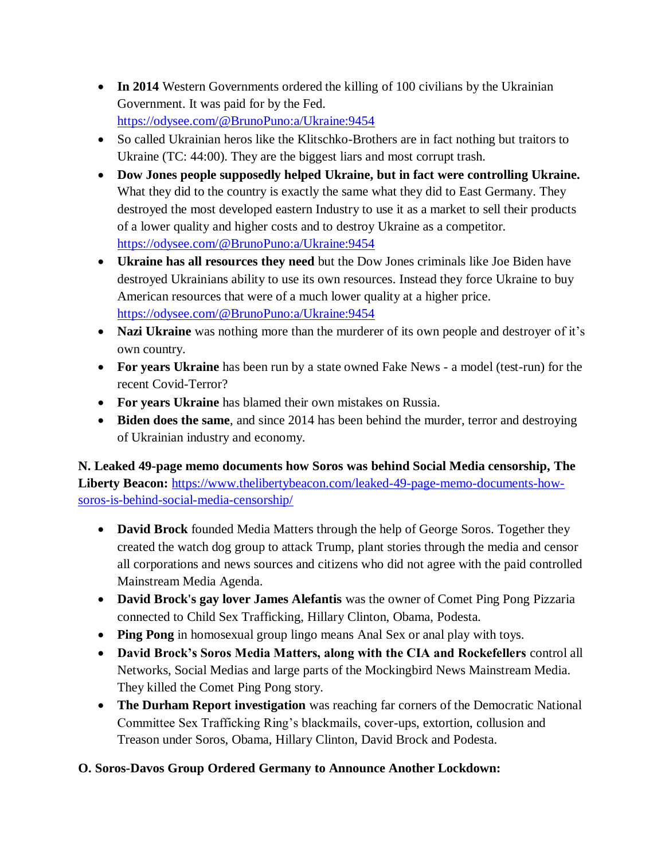- In 2014 Western Governments ordered the killing of 100 civilians by the Ukrainian Government. It was paid for by the Fed. <https://odysee.com/@BrunoPuno:a/Ukraine:9454>
- So called Ukrainian heros like the Klitschko-Brothers are in fact nothing but traitors to Ukraine (TC: 44:00). They are the biggest liars and most corrupt trash.
- **Dow Jones people supposedly helped Ukraine, but in fact were controlling Ukraine.** What they did to the country is exactly the same what they did to East Germany. They destroyed the most developed eastern Industry to use it as a market to sell their products of a lower quality and higher costs and to destroy Ukraine as a competitor. <https://odysee.com/@BrunoPuno:a/Ukraine:9454>
- **Ukraine has all resources they need** but the Dow Jones criminals like Joe Biden have destroyed Ukrainians ability to use its own resources. Instead they force Ukraine to buy American resources that were of a much lower quality at a higher price. <https://odysee.com/@BrunoPuno:a/Ukraine:9454>
- **Nazi Ukraine** was nothing more than the murderer of its own people and destroyer of it's own country.
- **For years Ukraine** has been run by a state owned Fake News a model (test-run) for the recent Covid-Terror?
- **For years Ukraine** has blamed their own mistakes on Russia.
- **Biden does the same**, and since 2014 has been behind the murder, terror and destroying of Ukrainian industry and economy.

**N. Leaked 49-page memo documents how Soros was behind Social Media censorship, The Liberty Beacon:** [https://www.thelibertybeacon.com/leaked-49-page-memo-documents-how](https://www.thelibertybeacon.com/leaked-49-page-memo-documents-how-soros-is-behind-social-media-censorship/)[soros-is-behind-social-media-censorship/](https://www.thelibertybeacon.com/leaked-49-page-memo-documents-how-soros-is-behind-social-media-censorship/)

- **David Brock** founded Media Matters through the help of George Soros. Together they created the watch dog group to attack Trump, plant stories through the media and censor all corporations and news sources and citizens who did not agree with the paid controlled Mainstream Media Agenda.
- **David Brock's gay lover James Alefantis** was the owner of Comet Ping Pong Pizzaria connected to Child Sex Trafficking, Hillary Clinton, Obama, Podesta.
- **Ping Pong** in homosexual group lingo means Anal Sex or anal play with toys.
- **David Brock"s Soros Media Matters, along with the CIA and Rockefellers** control all Networks, Social Medias and large parts of the Mockingbird News Mainstream Media. They killed the Comet Ping Pong story.
- **The Durham Report investigation** was reaching far corners of the Democratic National Committee Sex Trafficking Ring's blackmails, cover-ups, extortion, collusion and Treason under Soros, Obama, Hillary Clinton, David Brock and Podesta.

# **O. Soros-Davos Group Ordered Germany to Announce Another Lockdown:**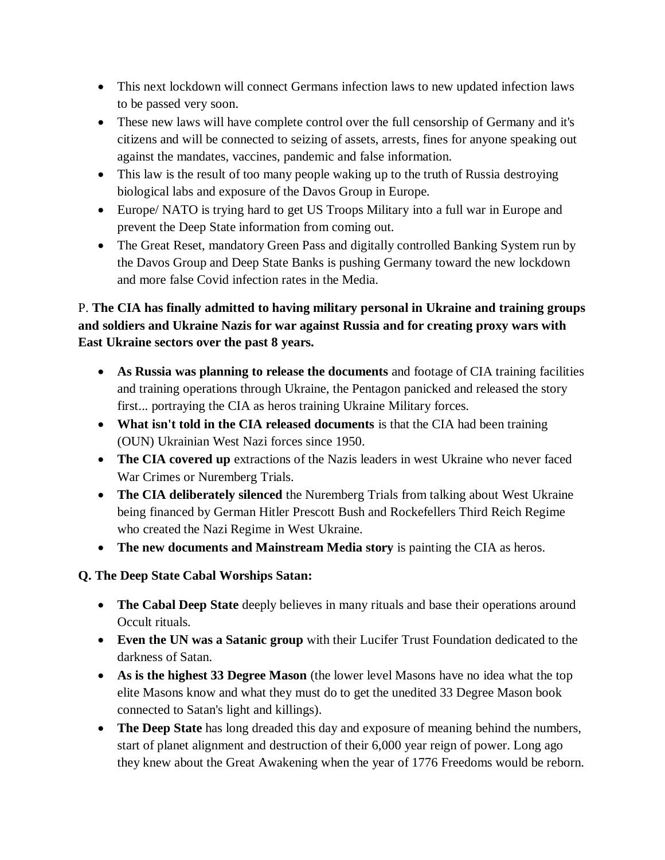- This next lockdown will connect Germans infection laws to new updated infection laws to be passed very soon.
- These new laws will have complete control over the full censorship of Germany and it's citizens and will be connected to seizing of assets, arrests, fines for anyone speaking out against the mandates, vaccines, pandemic and false information.
- This law is the result of too many people waking up to the truth of Russia destroying biological labs and exposure of the Davos Group in Europe.
- Europe/ NATO is trying hard to get US Troops Military into a full war in Europe and prevent the Deep State information from coming out.
- The Great Reset, mandatory Green Pass and digitally controlled Banking System run by the Davos Group and Deep State Banks is pushing Germany toward the new lockdown and more false Covid infection rates in the Media.

# P. **The CIA has finally admitted to having military personal in Ukraine and training groups and soldiers and Ukraine Nazis for war against Russia and for creating proxy wars with East Ukraine sectors over the past 8 years.**

- **As Russia was planning to release the documents** and footage of CIA training facilities and training operations through Ukraine, the Pentagon panicked and released the story first... portraying the CIA as heros training Ukraine Military forces.
- **What isn't told in the CIA released documents** is that the CIA had been training (OUN) Ukrainian West Nazi forces since 1950.
- **The CIA covered up** extractions of the Nazis leaders in west Ukraine who never faced War Crimes or Nuremberg Trials.
- **The CIA deliberately silenced** the Nuremberg Trials from talking about West Ukraine being financed by German Hitler Prescott Bush and Rockefellers Third Reich Regime who created the Nazi Regime in West Ukraine.
- **The new documents and Mainstream Media story** is painting the CIA as heros.

# **Q. The Deep State Cabal Worships Satan:**

- **The Cabal Deep State** deeply believes in many rituals and base their operations around Occult rituals.
- **Even the UN was a Satanic group** with their Lucifer Trust Foundation dedicated to the darkness of Satan.
- **As is the highest 33 Degree Mason** (the lower level Masons have no idea what the top elite Masons know and what they must do to get the unedited 33 Degree Mason book connected to Satan's light and killings).
- **The Deep State** has long dreaded this day and exposure of meaning behind the numbers, start of planet alignment and destruction of their 6,000 year reign of power. Long ago they knew about the Great Awakening when the year of 1776 Freedoms would be reborn.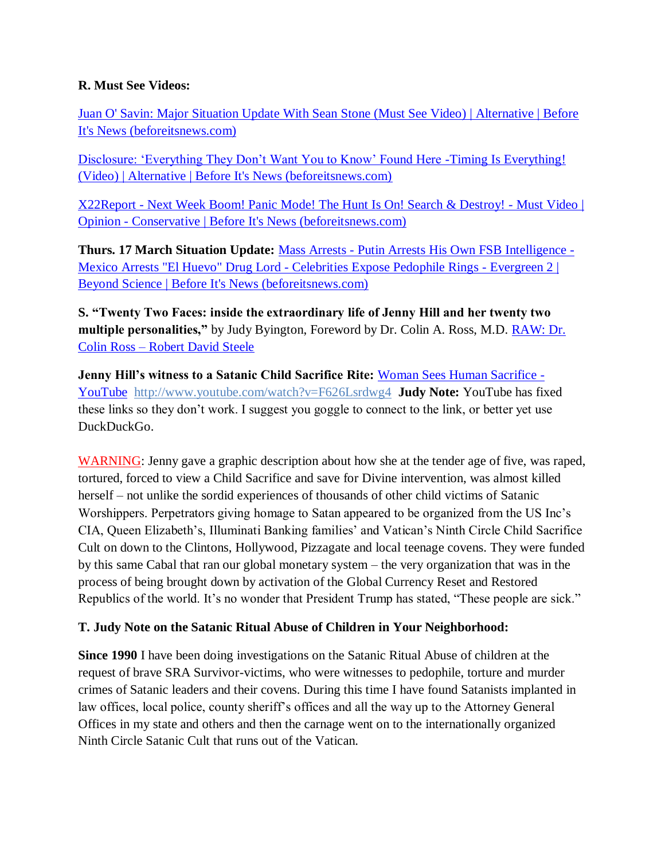### **R. Must See Videos:**

[Juan O' Savin: Major Situation Update With Sean Stone \(Must See Video\) | Alternative | Before](https://beforeitsnews.com/alternative/2022/03/juan-o-savin-major-situation-update-with-sean-stone-must-see-video-3769277.html)  [It's News \(beforeitsnews.com\)](https://beforeitsnews.com/alternative/2022/03/juan-o-savin-major-situation-update-with-sean-stone-must-see-video-3769277.html)

Disclosure: 'Everything They Don't Want You to Know' Found Here -Timing Is Everything! [\(Video\) | Alternative | Before It's News \(beforeitsnews.com\)](https://beforeitsnews.com/alternative/2022/03/disclosure-everything-they-dont-want-you-to-know-found-here-timing-is-everything-video-3769344.html)

X22Report - Next Week Boom! Panic [Mode! The Hunt Is On! Search & Destroy! -](https://beforeitsnews.com/opinion-conservative/2022/03/x22report-next-week-boom-panic-mode-the-hunt-is-on-search-destroy-must-video-3622334.html) Must Video | Opinion - [Conservative | Before It's News \(beforeitsnews.com\)](https://beforeitsnews.com/opinion-conservative/2022/03/x22report-next-week-boom-panic-mode-the-hunt-is-on-search-destroy-must-video-3622334.html)

**Thurs. 17 March Situation Update:** Mass Arrests - [Putin Arrests His Own FSB Intelligence -](https://beforeitsnews.com/beyond-science/2022/03/mass-arrests-putin-arrests-his-own-fsb-intelligence-mexico-arrests-el-huevo-drug-lord-celebrities-expose-pedophile-rings-evergreen-2-2454403.html) [Mexico Arrests "El Huevo" Drug Lord -](https://beforeitsnews.com/beyond-science/2022/03/mass-arrests-putin-arrests-his-own-fsb-intelligence-mexico-arrests-el-huevo-drug-lord-celebrities-expose-pedophile-rings-evergreen-2-2454403.html) Celebrities Expose Pedophile Rings - Evergreen 2 | [Beyond Science | Before It's News \(beforeitsnews.com\)](https://beforeitsnews.com/beyond-science/2022/03/mass-arrests-putin-arrests-his-own-fsb-intelligence-mexico-arrests-el-huevo-drug-lord-celebrities-expose-pedophile-rings-evergreen-2-2454403.html)

**S. "Twenty Two Faces: inside the extraordinary life of Jenny Hill and her twenty two multiple personalities,"** by Judy Byington, Foreword by Dr. Colin A. Ross, M.D. [RAW: Dr.](https://robertdavidsteele.com/dr-colin-ross/)  Colin Ross – [Robert David Steele](https://robertdavidsteele.com/dr-colin-ross/)

**Jenny Hill's witness to a Satanic Child Sacrifice Rite: [Woman Sees Human Sacrifice -](https://www.youtube.com/watch?v=F626Lsrdwg4)** [YouTube http://www.youtube.com/watch?v=F626Lsrdwg4](https://www.youtube.com/watch?v=F626Lsrdwg4) **Judy Note:** YouTube has fixed these links so they don't work. I suggest you goggle to connect to the link, or better yet use DuckDuckGo.

WARNING: Jenny gave a graphic description about how she at the tender age of five, was raped, tortured, forced to view a Child Sacrifice and save for Divine intervention, was almost killed herself – not unlike the sordid experiences of thousands of other child victims of Satanic Worshippers. Perpetrators giving homage to Satan appeared to be organized from the US Inc's CIA, Queen Elizabeth's, Illuminati Banking families' and Vatican's Ninth Circle Child Sacrifice Cult on down to the Clintons, Hollywood, Pizzagate and local teenage covens. They were funded by this same Cabal that ran our global monetary system – the very organization that was in the process of being brought down by activation of the Global Currency Reset and Restored Republics of the world. It's no wonder that President Trump has stated, "These people are sick."

### **T. Judy Note on the Satanic Ritual Abuse of Children in Your Neighborhood:**

**Since 1990** I have been doing investigations on the Satanic Ritual Abuse of children at the request of brave SRA Survivor-victims, who were witnesses to pedophile, torture and murder crimes of Satanic leaders and their covens. During this time I have found Satanists implanted in law offices, local police, county sheriff's offices and all the way up to the Attorney General Offices in my state and others and then the carnage went on to the internationally organized Ninth Circle Satanic Cult that runs out of the Vatican.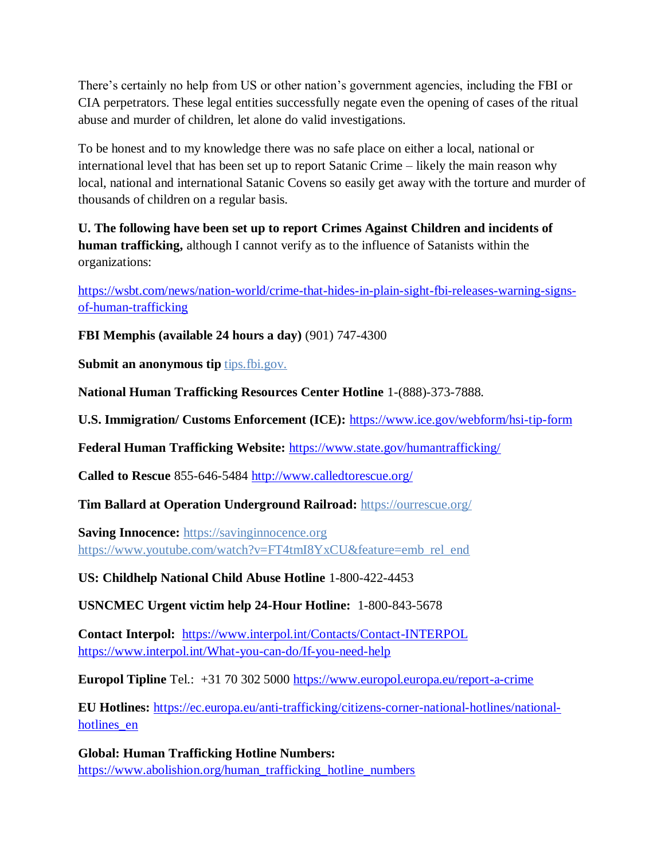There's certainly no help from US or other nation's government agencies, including the FBI or CIA perpetrators. These legal entities successfully negate even the opening of cases of the ritual abuse and murder of children, let alone do valid investigations.

To be honest and to my knowledge there was no safe place on either a local, national or international level that has been set up to report Satanic Crime – likely the main reason why local, national and international Satanic Covens so easily get away with the torture and murder of thousands of children on a regular basis.

**U. The following have been set up to report Crimes Against Children and incidents of human trafficking,** although I cannot verify as to the influence of Satanists within the organizations:

[https://wsbt.com/news/nation-world/crime-that-hides-in-plain-sight-fbi-releases-warning-signs](https://wsbt.com/news/nation-world/crime-that-hides-in-plain-sight-fbi-releases-warning-signs-of-human-trafficking?video=e56ba52a1b9d45ad8c8a033fd83fe480&jwsource=cl)[of-human-trafficking](https://wsbt.com/news/nation-world/crime-that-hides-in-plain-sight-fbi-releases-warning-signs-of-human-trafficking?video=e56ba52a1b9d45ad8c8a033fd83fe480&jwsource=cl)

**FBI Memphis (available 24 hours a day)** (901) 747-4300

**Submit an anonymous tip tips.fbi.gov.** 

**National Human Trafficking Resources Center Hotline** 1-(888)-373-7888.

**U.S. Immigration/ Customs Enforcement (ICE):** <https://www.ice.gov/webform/hsi-tip-form>

**Federal Human Trafficking Website:** <https://www.state.gov/humantrafficking/>

**Called to Rescue** 855-646-5484<http://www.calledtorescue.org/>

**Tim Ballard at Operation Underground Railroad:** <https://ourrescue.org/>

**Saving Innocence:** [https://savinginnocence.org](https://savinginnocence.org/) [https://www.youtube.com/watch?v=FT4tmI8YxCU&feature=emb\\_rel\\_end](https://www.youtube.com/watch?v=FT4tmI8YxCU&feature=emb_rel_end)

**US: Childhelp National Child Abuse Hotline** 1-800-422-4453

**USNCMEC Urgent victim help 24-Hour Hotline:** 1-800-843-5678

**Contact Interpol:** <https://www.interpol.int/Contacts/Contact-INTERPOL> <https://www.interpol.int/What-you-can-do/If-you-need-help>

**Europol Tipline** Tel.: +31 70 302 5000<https://www.europol.europa.eu/report-a-crime>

**EU Hotlines:** [https://ec.europa.eu/anti-trafficking/citizens-corner-national-hotlines/national](https://ec.europa.eu/anti-trafficking/citizens-corner-national-hotlines/national-hotlines_en)hotlines en

**Global: Human Trafficking Hotline Numbers:** [https://www.abolishion.org/human\\_trafficking\\_hotline\\_numbers](https://www.abolishion.org/human_trafficking_hotline_numbers)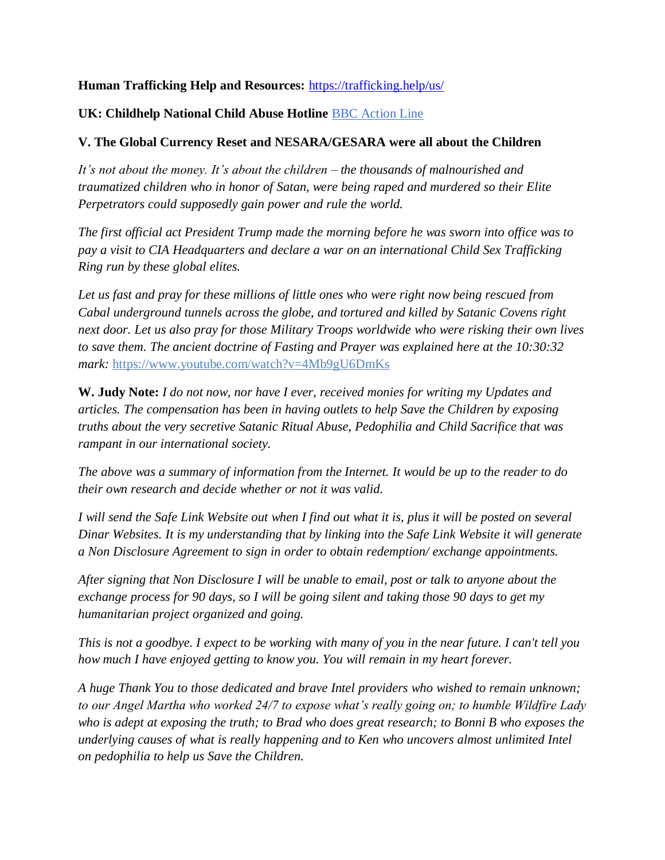## **Human Trafficking Help and Resources:** <https://trafficking.help/us/>

## **UK: Childhelp National Child Abuse Hotline** [BBC Action Line](https://www.bbc.co.uk/actionline)

### **V. The Global Currency Reset and NESARA/GESARA were all about the Children**

*It's not about the money. It's about the children – the thousands of malnourished and traumatized children who in honor of Satan, were being raped and murdered so their Elite Perpetrators could supposedly gain power and rule the world.* 

*The first official act President Trump made the morning before he was sworn into office was to pay a visit to CIA Headquarters and declare a war on an international Child Sex Trafficking Ring run by these global elites.* 

*Let us fast and pray for these millions of little ones who were right now being rescued from Cabal underground tunnels across the globe, and tortured and killed by Satanic Covens right next door. Let us also pray for those Military Troops worldwide who were risking their own lives to save them. The ancient doctrine of Fasting and Prayer was explained here at the 10:30:32 mark:* <https://www.youtube.com/watch?v=4Mb9gU6DmKs>

**W. Judy Note:** *I do not now, nor have I ever, received monies for writing my Updates and articles. The compensation has been in having outlets to help Save the Children by exposing truths about the very secretive Satanic Ritual Abuse, Pedophilia and Child Sacrifice that was rampant in our international society.*

*The above was a summary of information from the Internet. It would be up to the reader to do their own research and decide whether or not it was valid.*

*I will send the Safe Link Website out when I find out what it is, plus it will be posted on several Dinar Websites. It is my understanding that by linking into the Safe Link Website it will generate a Non Disclosure Agreement to sign in order to obtain redemption/ exchange appointments.*

*After signing that Non Disclosure I will be unable to email, post or talk to anyone about the exchange process for 90 days, so I will be going silent and taking those 90 days to get my humanitarian project organized and going.*

*This is not a goodbye. I expect to be working with many of you in the near future. I can't tell you how much I have enjoyed getting to know you. You will remain in my heart forever.*

*A huge Thank You to those dedicated and brave Intel providers who wished to remain unknown; to our Angel Martha who worked 24/7 to expose what's really going on; to humble Wildfire Lady who is adept at exposing the truth; to Brad who does great research; to Bonni B who exposes the underlying causes of what is really happening and to Ken who uncovers almost unlimited Intel on pedophilia to help us Save the Children.*